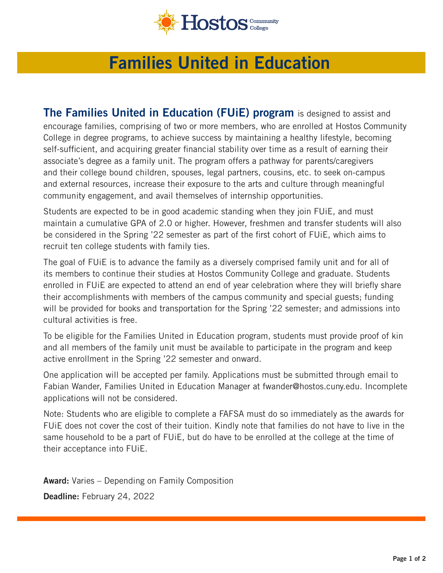

## **Families United in Education**

**The Families United in Education (FUIE) program** is designed to assist and encourage families, comprising of two or more members, who are enrolled at Hostos Community College in degree programs, to achieve success by maintaining a healthy lifestyle, becoming self-sufficient, and acquiring greater financial stability over time as a result of earning their associate's degree as a family unit. The program offers a pathway for parents/caregivers and their college bound children, spouses, legal partners, cousins, etc. to seek on-campus and external resources, increase their exposure to the arts and culture through meaningful community engagement, and avail themselves of internship opportunities.

Students are expected to be in good academic standing when they join FUiE, and must maintain a cumulative GPA of 2.0 or higher. However, freshmen and transfer students will also be considered in the Spring '22 semester as part of the frst cohort of FUiE, which aims to recruit ten college students with family ties.

The goal of FUiE is to advance the family as a diversely comprised family unit and for all of its members to continue their studies at Hostos Community College and graduate. Students enrolled in FUiE are expected to attend an end of year celebration where they will briefy share their accomplishments with members of the campus community and special guests; funding will be provided for books and transportation for the Spring '22 semester; and admissions into cultural activities is free.

To be eligible for the Families United in Education program, students must provide proof of kin and all members of the family unit must be available to participate in the program and keep active enrollment in the Spring '22 semester and onward.

One application will be accepted per family. Applications must be submitted through email to Fabian Wander, Families United in Education Manager at [fwander@hostos.cuny.edu](mailto:fwander@hostos.cuny.edu). Incomplete applications will not be considered.

Note: Students who are eligible to complete a FAFSA must do so immediately as the awards for FUiE does not cover the cost of their tuition. Kindly note that families do not have to live in the same household to be a part of FUiE, but do have to be enrolled at the college at the time of their acceptance into FUiE.

**Award:** Varies – Depending on Family Composition

**Deadline:** February 24, 2022